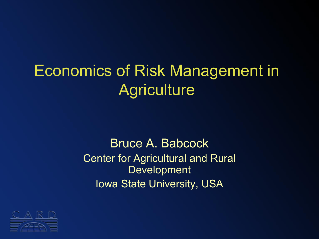### Economics of Risk Management in **Agriculture**

#### Bruce A. Babcock Center for Agricultural and Rural Development Iowa State University, USA

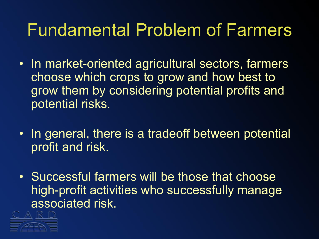### Fundamental Problem of Farmers

- In market-oriented agricultural sectors, farmers choose which crops to grow and how best to grow them by considering potential profits and potential risks.
- In general, there is a tradeoff between potential profit and risk.
- Successful farmers will be those that choose high-profit activities who successfully manage associated risk.

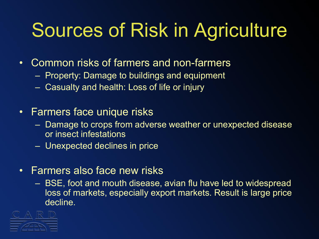# Sources of Risk in Agriculture

- Common risks of farmers and non-farmers
	- Property: Damage to buildings and equipment
	- Casualty and health: Loss of life or injury
- Farmers face unique risks
	- Damage to crops from adverse weather or unexpected disease or insect infestations
	- Unexpected declines in price
- Farmers also face new risks
	- BSE, foot and mouth disease, avian flu have led to widespread loss of markets, especially export markets. Result is large price decline.

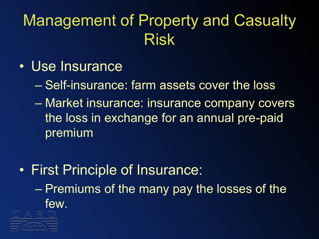### Management of Property and Casualty Risk

- Use Insurance
	- Self-insurance: farm assets cover the loss
	- Market insurance: insurance company covers the loss in exchange for an annual pre-paid premium
- First Principle of Insurance: – Premiums of the many pay the losses of the few.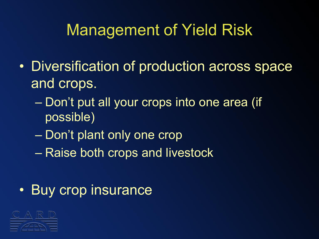#### Management of Yield Risk

- Diversification of production across space and crops.
	- Don't put all your crops into one area (if possible)
	- Don't plant only one crop
	- Raise both crops and livestock

#### • Buy crop insurance

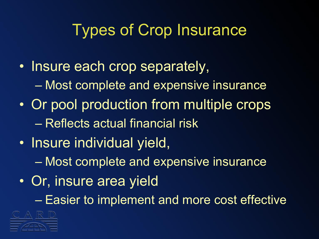#### Types of Crop Insurance

- Insure each crop separately, – Most complete and expensive insurance
- Or pool production from multiple crops – Reflects actual financial risk
- Insure individual yield,
	- Most complete and expensive insurance
- Or, insure area yield

– Easier to implement and more cost effective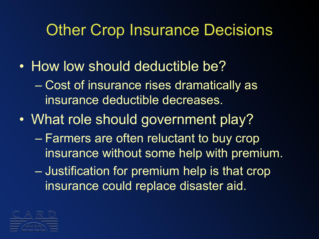#### Other Crop Insurance Decisions

- How low should deductible be?
	- Cost of insurance rises dramatically as insurance deductible decreases.
- What role should government play?
	- Farmers are often reluctant to buy crop insurance without some help with premium.
	- Justification for premium help is that crop insurance could replace disaster aid.

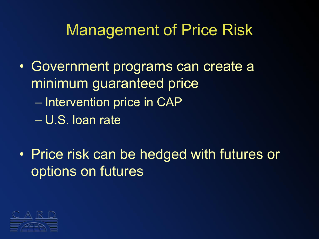#### Management of Price Risk

- Government programs can create a minimum guaranteed price – Intervention price in CAP – U.S. loan rate
- Price risk can be hedged with futures or options on futures

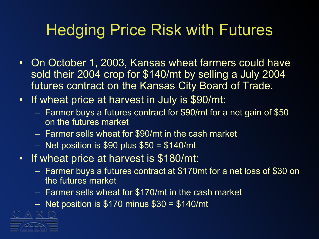#### Hedging Price Risk with Futures

- On October 1, 2003, Kansas wheat farmers could have sold their 2004 crop for \$140/mt by selling a July 2004 futures contract on the Kansas City Board of Trade.
- If wheat price at harvest in July is \$90/mt:
	- Farmer buys a futures contract for \$90/mt for a net gain of \$50 on the futures market
	- Farmer sells wheat for \$90/mt in the cash market
	- $-$  Net position is \$90 plus \$50 = \$140/mt
- If wheat price at harvest is \$180/mt:
	- Farmer buys a futures contract at \$170mt for a net loss of \$30 on the futures market
	- Farmer sells wheat for \$170/mt in the cash market
	- Net position is  $$170$  minus  $$30 = $140/mt$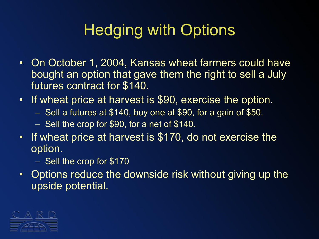### Hedging with Options

- On October 1, 2004, Kansas wheat farmers could have bought an option that gave them the right to sell a July futures contract for \$140.
- If wheat price at harvest is \$90, exercise the option.
	- Sell a futures at \$140, buy one at \$90, for a gain of \$50.
	- Sell the crop for \$90, for a net of \$140.
- If wheat price at harvest is \$170, do not exercise the option.
	- Sell the crop for \$170
- Options reduce the downside risk without giving up the upside potential.

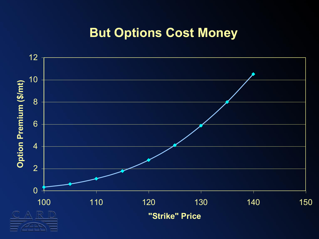#### **But Options Cost Money**

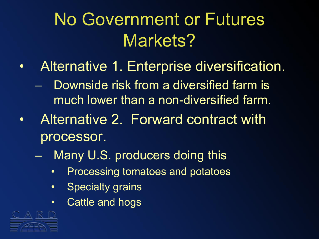## No Government or Futures Markets?

- Alternative 1. Enterprise diversification.
	- Downside risk from a diversified farm is much lower than a non-diversified farm.
- Alternative 2. Forward contract with processor.
	- Many U.S. producers doing this
		- Processing tomatoes and potatoes
		- Specialty grains
		- Cattle and hogs

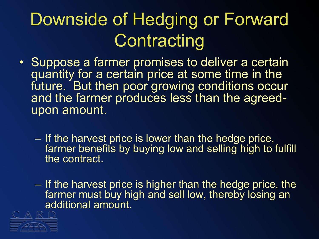## Downside of Hedging or Forward **Contracting**

- Suppose a farmer promises to deliver a certain quantity for a certain price at some time in the future. But then poor growing conditions occur and the farmer produces less than the agreedupon amount.
	- If the harvest price is lower than the hedge price, farmer benefits by buying low and selling high to fulfill the contract.
	- If the harvest price is higher than the hedge price, the farmer must buy high and sell low, thereby losing an additional amount.

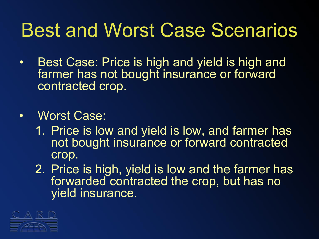## Best and Worst Case Scenarios

• Best Case: Price is high and yield is high and farmer has not bought insurance or forward contracted crop.

#### • Worst Case:

- 1. Price is low and yield is low, and farmer has not bought insurance or forward contracted crop.
- 2. Price is high, yield is low and the farmer has forwarded contracted the crop, but has no yield insurance.

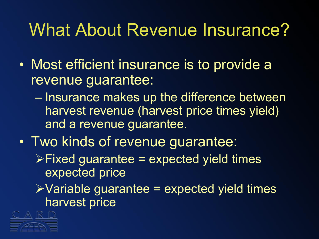## What About Revenue Insurance?

- Most efficient insurance is to provide a revenue guarantee:
	- Insurance makes up the difference between harvest revenue (harvest price times yield) and a revenue guarantee.
- Two kinds of revenue guarantee:
	- $\triangleright$  Fixed guarantee = expected yield times expected price
	- $\triangleright$  Variable guarantee = expected yield times harvest price

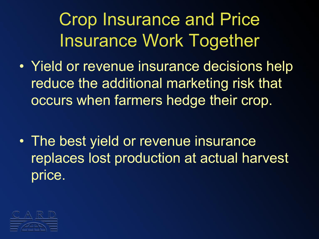Crop Insurance and Price Insurance Work Together

• Yield or revenue insurance decisions help reduce the additional marketing risk that occurs when farmers hedge their crop.

• The best yield or revenue insurance replaces lost production at actual harvest price.

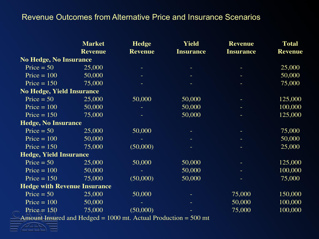#### Revenue Outcomes from Alternative Price and Insurance Scenarios

|                                     | <b>Market</b><br><b>Revenue</b> | <b>Hedge</b><br><b>Revenue</b>                                                                                                                                                                                                                                                                                                                 | Yield<br><b>Insurance</b> | <b>Revenue</b><br><b>Insurance</b> | <b>Total</b><br><b>Revenue</b> |
|-------------------------------------|---------------------------------|------------------------------------------------------------------------------------------------------------------------------------------------------------------------------------------------------------------------------------------------------------------------------------------------------------------------------------------------|---------------------------|------------------------------------|--------------------------------|
|                                     |                                 |                                                                                                                                                                                                                                                                                                                                                |                           |                                    |                                |
| <b>No Hedge, No Insurance</b>       |                                 |                                                                                                                                                                                                                                                                                                                                                |                           |                                    |                                |
| Price $= 50$                        | 25,000                          |                                                                                                                                                                                                                                                                                                                                                |                           |                                    | 25,000                         |
| Price = $100$                       | 50,000                          |                                                                                                                                                                                                                                                                                                                                                |                           |                                    | 50,000                         |
| Price $= 150$                       | 75,000                          |                                                                                                                                                                                                                                                                                                                                                |                           |                                    | 75,000                         |
| <b>No Hedge, Yield Insurance</b>    |                                 |                                                                                                                                                                                                                                                                                                                                                |                           |                                    |                                |
| Price $= 50$                        | 25,000                          | 50,000                                                                                                                                                                                                                                                                                                                                         | 50,000                    |                                    | 125,000                        |
| Price $= 100$                       | 50,000                          |                                                                                                                                                                                                                                                                                                                                                | 50,000                    |                                    | 100,000                        |
| Price $= 150$                       | 75,000                          |                                                                                                                                                                                                                                                                                                                                                | 50,000                    |                                    | 125,000                        |
| <b>Hedge, No Insurance</b>          |                                 |                                                                                                                                                                                                                                                                                                                                                |                           |                                    |                                |
| Price = $50$                        | 25,000                          | 50,000                                                                                                                                                                                                                                                                                                                                         |                           |                                    | 75,000                         |
| Price $= 100$                       | 50,000                          |                                                                                                                                                                                                                                                                                                                                                |                           |                                    | 50,000                         |
| Price $= 150$                       | 75,000                          | (50,000)                                                                                                                                                                                                                                                                                                                                       | ٠                         |                                    | 25,000                         |
| <b>Hedge, Yield Insurance</b>       |                                 |                                                                                                                                                                                                                                                                                                                                                |                           |                                    |                                |
| Price $= 50$                        | 25,000                          | 50,000                                                                                                                                                                                                                                                                                                                                         | 50,000                    |                                    | 125,000                        |
| Price $= 100$                       | 50,000                          |                                                                                                                                                                                                                                                                                                                                                | 50,000                    |                                    | 100,000                        |
| Price $= 150$                       | 75,000                          | (50,000)                                                                                                                                                                                                                                                                                                                                       | 50,000                    |                                    | 75,000                         |
| <b>Hedge with Revenue Insurance</b> |                                 |                                                                                                                                                                                                                                                                                                                                                |                           |                                    |                                |
| Price $= 50$                        | 25,000                          | 50,000                                                                                                                                                                                                                                                                                                                                         |                           | 75,000                             | 150,000                        |
| Price $= 100$                       | 50,000                          |                                                                                                                                                                                                                                                                                                                                                |                           | 50,000                             | 100,000                        |
| Price $= 150$                       | 75,000                          | (50,000)<br>$\mathbf{I}$ $\mathbf{I}$ $\mathbf{I}$ $\mathbf{I}$ $\mathbf{I}$ $\mathbf{I}$ $\mathbf{I}$ $\mathbf{I}$ $\mathbf{I}$ $\mathbf{O}$ $\mathbf{O}$ $\mathbf{I}$ $\mathbf{I}$ $\mathbf{I}$ $\mathbf{I}$ $\mathbf{I}$ $\mathbf{I}$ $\mathbf{I}$ $\mathbf{I}$ $\mathbf{I}$ $\mathbf{I}$ $\mathbf{I}$ $\mathbf{I}$ $\mathbf{I}$ $\mathbf{$ | $F\cap\bigcap$            | 75,000                             | 100,000                        |

Amount Insured and Hedged = 1000 mt. Actual Production = 500 mt